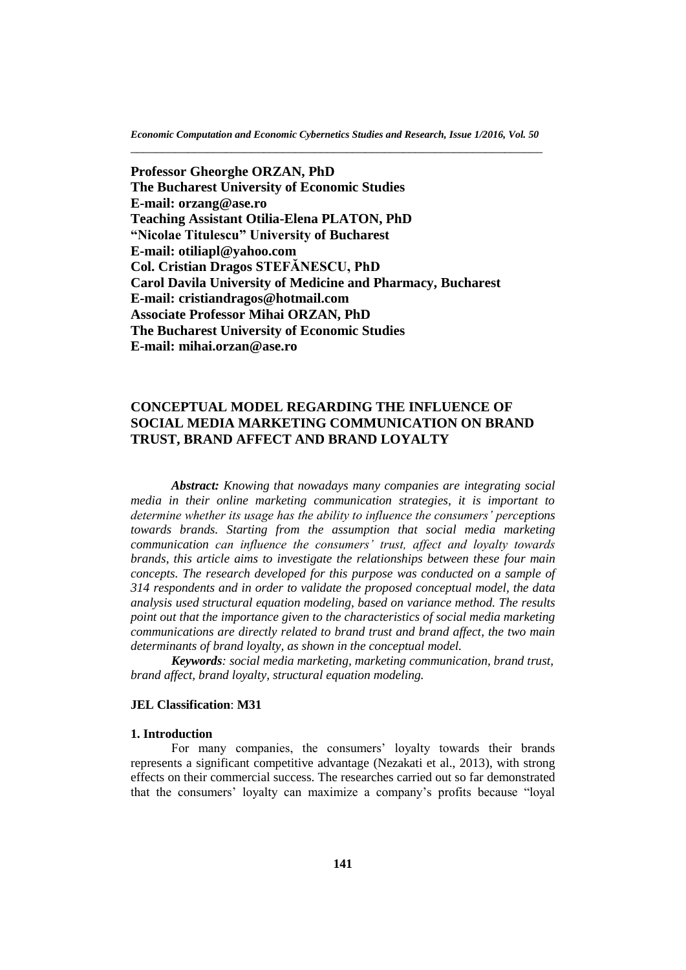*Economic Computation and Economic Cybernetics Studies and Research, Issue 1/2016, Vol. 50* \_\_\_\_\_\_\_\_\_\_\_\_\_\_\_\_\_\_\_\_\_\_\_\_\_\_\_\_\_\_\_\_\_\_\_\_\_\_\_\_\_\_\_\_\_\_\_\_\_\_\_\_\_\_\_\_\_\_\_\_\_\_\_\_\_

**Professor Gheorghe ORZAN, PhD The Bucharest University of Economic Studies E-mail: [orzang@ase.ro](file:///I:/Cercetare/Articole%202015/Platon-ISI-Ecocyb/orzang@ase.ro) Teaching Assistant Otilia-Elena PLATON, PhD "Nicolae Titulescu" University of Bucharest E-mail: [otiliapl@yahoo.com](file:///I:/Cercetare/Articole%202015/Platon-ISI-Ecocyb/otiliapl@yahoo.com) Col. Cristian Dragos STEFĂNESCU, PhD Carol Davila University of Medicine and Pharmacy, Bucharest E-mail: [cristiandragos@hotmail.com](file:///I:/AppData/Local/Temp/cristiandragos@hotmail.com) Associate Professor Mihai ORZAN, PhD The Bucharest University of Economic Studies E-mail: [mihai.orzan@ase.ro](file:///C:/Users/Administrator/AppData/Local/Temp/mihai.orzan@ase.ro)**

# **CONCEPTUAL MODEL REGARDING THE INFLUENCE OF SOCIAL MEDIA MARKETING COMMUNICATION ON BRAND TRUST, BRAND AFFECT AND BRAND LOYALTY**

*Abstract: Knowing that nowadays many companies are integrating social media in their online marketing communication strategies, it is important to determine whether its usage has the ability to influence the consumers' perceptions towards brands. Starting from the assumption that social media marketing communication can influence the consumers' trust, affect and loyalty towards brands, this article aims to investigate the relationships between these four main concepts. The research developed for this purpose was conducted on a sample of 314 respondents and in order to validate the proposed conceptual model, the data analysis used structural equation modeling, based on variance method. The results point out that the importance given to the characteristics of social media marketing communications are directly related to brand trust and brand affect, the two main determinants of brand loyalty, as shown in the conceptual model.*

*Keywords: social media marketing, marketing communication, brand trust, brand affect, brand loyalty, structural equation modeling.* 

### **JEL Classification**: **M31**

#### **1. Introduction**

For many companies, the consumers' loyalty towards their brands represents a significant competitive advantage (Nezakati et al., 2013), with strong effects on their commercial success. The researches carried out so far demonstrated that the consumers' loyalty can maximize a company's profits because "loyal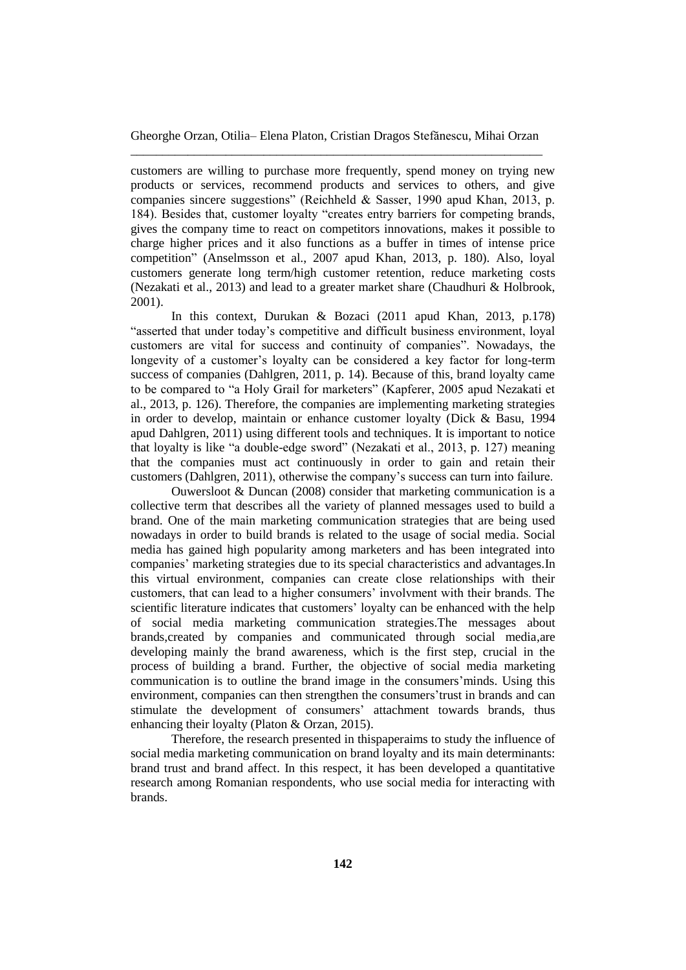customers are willing to purchase more frequently, spend money on trying new products or services, recommend products and services to others, and give companies sincere suggestions" (Reichheld & Sasser, 1990 apud Khan, 2013, p. 184). Besides that, customer loyalty "creates entry barriers for competing brands, gives the company time to react on competitors innovations, makes it possible to charge higher prices and it also functions as a buffer in times of intense price competition" (Anselmsson et al., 2007 apud Khan, 2013, p. 180). Also, loyal customers generate long term/high customer retention, reduce marketing costs (Nezakati et al., 2013) and lead to a greater market share (Chaudhuri & Holbrook, 2001).

In this context, Durukan & Bozaci (2011 apud Khan, 2013, p.178) "asserted that under today's competitive and difficult business environment, loyal customers are vital for success and continuity of companies". Nowadays, the longevity of a customer's loyalty can be considered a key factor for long-term success of companies (Dahlgren, 2011, p. 14). Because of this, brand loyalty came to be compared to "a Holy Grail for marketers" (Kapferer, 2005 apud Nezakati et al., 2013, p. 126). Therefore, the companies are implementing marketing strategies in order to develop, maintain or enhance customer loyalty (Dick & Basu, 1994 apud Dahlgren, 2011) using different tools and techniques. It is important to notice that loyalty is like "a double-edge sword" (Nezakati et al., 2013, p. 127) meaning that the companies must act continuously in order to gain and retain their customers (Dahlgren, 2011), otherwise the company's success can turn into failure.

Ouwersloot & Duncan (2008) consider that marketing communication is a collective term that describes all the variety of planned messages used to build a brand. One of the main marketing communication strategies that are being used nowadays in order to build brands is related to the usage of social media. Social media has gained high popularity among marketers and has been integrated into companies' marketing strategies due to its special characteristics and advantages.In this virtual environment, companies can create close relationships with their customers, that can lead to a higher consumers' involvment with their brands. The scientific literature indicates that customers' loyalty can be enhanced with the help of social media marketing communication strategies.The messages about brands,created by companies and communicated through social media,are developing mainly the brand awareness, which is the first step, crucial in the process of building a brand. Further, the objective of social media marketing communication is to outline the brand image in the consumers'minds. Using this environment, companies can then strengthen the consumers'trust in brands and can stimulate the development of consumers' attachment towards brands, thus enhancing their loyalty (Platon & Orzan, 2015).

Therefore, the research presented in thispaperaims to study the influence of social media marketing communication on brand loyalty and its main determinants: brand trust and brand affect. In this respect, it has been developed a quantitative research among Romanian respondents, who use social media for interacting with brands.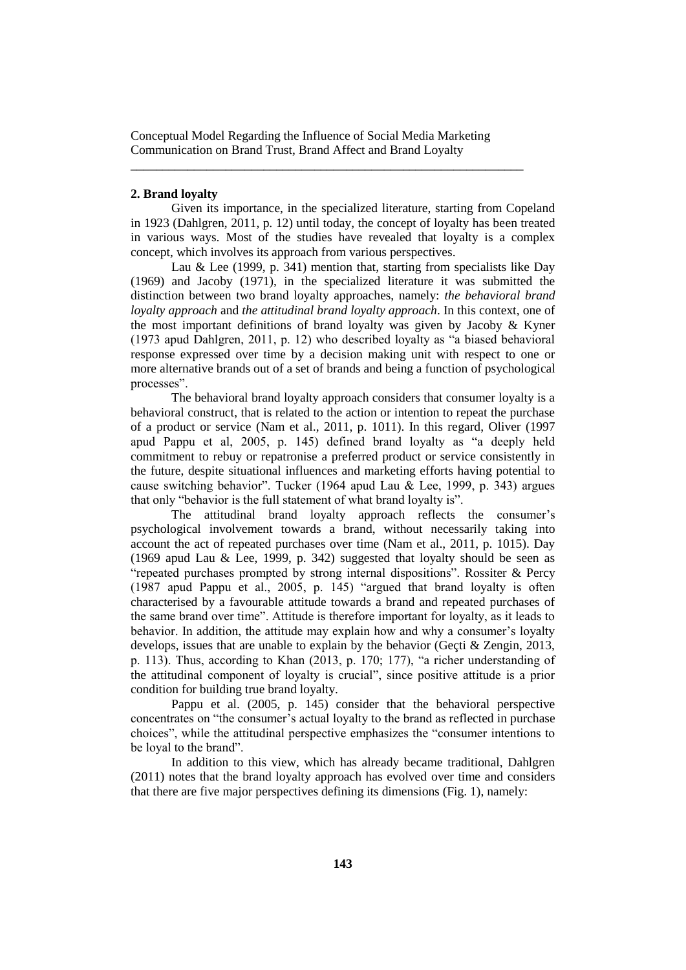\_\_\_\_\_\_\_\_\_\_\_\_\_\_\_\_\_\_\_\_\_\_\_\_\_\_\_\_\_\_\_\_\_\_\_\_\_\_\_\_\_\_\_\_\_\_\_\_\_\_\_\_\_\_\_\_\_\_\_\_\_\_

## **2. Brand loyalty**

Given its importance, in the specialized literature, starting from Copeland in 1923 (Dahlgren, 2011, p. 12) until today, the concept of loyalty has been treated in various ways. Most of the studies have revealed that loyalty is a complex concept, which involves its approach from various perspectives.

Lau & Lee (1999, p. 341) mention that, starting from specialists like Day (1969) and Jacoby (1971), in the specialized literature it was submitted the distinction between two brand loyalty approaches, namely: *the behavioral brand loyalty approach* and *the attitudinal brand loyalty approach*. In this context, one of the most important definitions of brand loyalty was given by Jacoby & Kyner (1973 apud Dahlgren, 2011, p. 12) who described loyalty as "a biased behavioral response expressed over time by a decision making unit with respect to one or more alternative brands out of a set of brands and being a function of psychological processes".

The behavioral brand loyalty approach considers that consumer loyalty is a behavioral construct, that is related to the action or intention to repeat the purchase of a product or service (Nam et al., 2011, p. 1011). In this regard, Oliver (1997 apud Pappu et al, 2005, p. 145) defined brand loyalty as "a deeply held commitment to rebuy or repatronise a preferred product or service consistently in the future, despite situational influences and marketing efforts having potential to cause switching behavior". Tucker (1964 apud Lau & Lee, 1999, p. 343) argues that only "behavior is the full statement of what brand loyalty is".

The attitudinal brand loyalty approach reflects the consumer's psychological involvement towards a brand, without necessarily taking into account the act of repeated purchases over time (Nam et al., 2011, p. 1015). Day (1969 apud Lau & Lee, 1999, p. 342) suggested that loyalty should be seen as "repeated purchases prompted by strong internal dispositions". Rossiter & Percy (1987 apud Pappu et al., 2005, p. 145) "argued that brand loyalty is often characterised by a favourable attitude towards a brand and repeated purchases of the same brand over time". Attitude is therefore important for loyalty, as it leads to behavior. In addition, the attitude may explain how and why a consumer's loyalty develops, issues that are unable to explain by the behavior (Geçti & Zengin, 2013, p. 113). Thus, according to Khan (2013, p. 170; 177), "a richer understanding of the attitudinal component of loyalty is crucial", since positive attitude is a prior condition for building true brand loyalty.

Pappu et al. (2005, p. 145) consider that the behavioral perspective concentrates on "the consumer's actual loyalty to the brand as reflected in purchase choices", while the attitudinal perspective emphasizes the "consumer intentions to be loyal to the brand".

In addition to this view, which has already became traditional, Dahlgren (2011) notes that the brand loyalty approach has evolved over time and considers that there are five major perspectives defining its dimensions (Fig. 1), namely: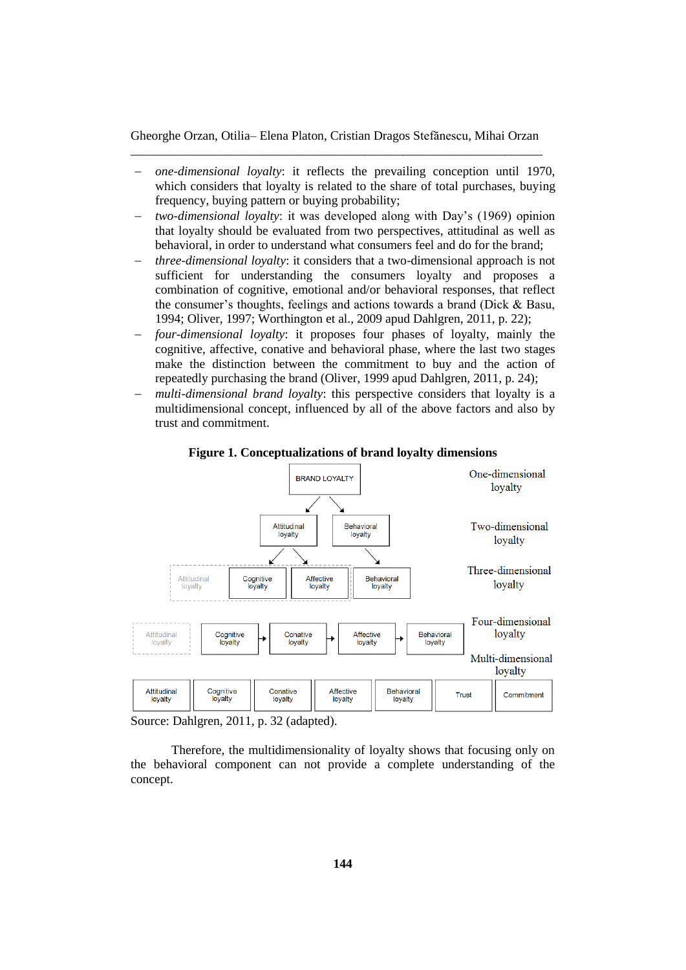- *one-dimensional loyalty*: it reflects the prevailing conception until 1970, which considers that loyalty is related to the share of total purchases, buying frequency, buying pattern or buying probability;
- *two-dimensional loyalty*: it was developed along with Day's (1969) opinion that loyalty should be evaluated from two perspectives, attitudinal as well as behavioral, in order to understand what consumers feel and do for the brand;
- *three-dimensional loyalty*: it considers that a two-dimensional approach is not sufficient for understanding the consumers loyalty and proposes a combination of cognitive, emotional and/or behavioral responses, that reflect the consumer's thoughts, feelings and actions towards a brand (Dick & Basu, 1994; Oliver, 1997; Worthington et al., 2009 apud Dahlgren, 2011, p. 22);
- *four-dimensional loyalty*: it proposes four phases of loyalty, mainly the cognitive, affective, conative and behavioral phase, where the last two stages make the distinction between the commitment to buy and the action of repeatedly purchasing the brand (Oliver, 1999 apud Dahlgren, 2011, p. 24);
- *multi-dimensional brand loyalty*: this perspective considers that loyalty is a multidimensional concept, influenced by all of the above factors and also by trust and commitment.



**Figure 1. Conceptualizations of brand loyalty dimensions**

Source: Dahlgren, 2011, p. 32 (adapted).

Therefore, the multidimensionality of loyalty shows that focusing only on the behavioral component can not provide a complete understanding of the concept.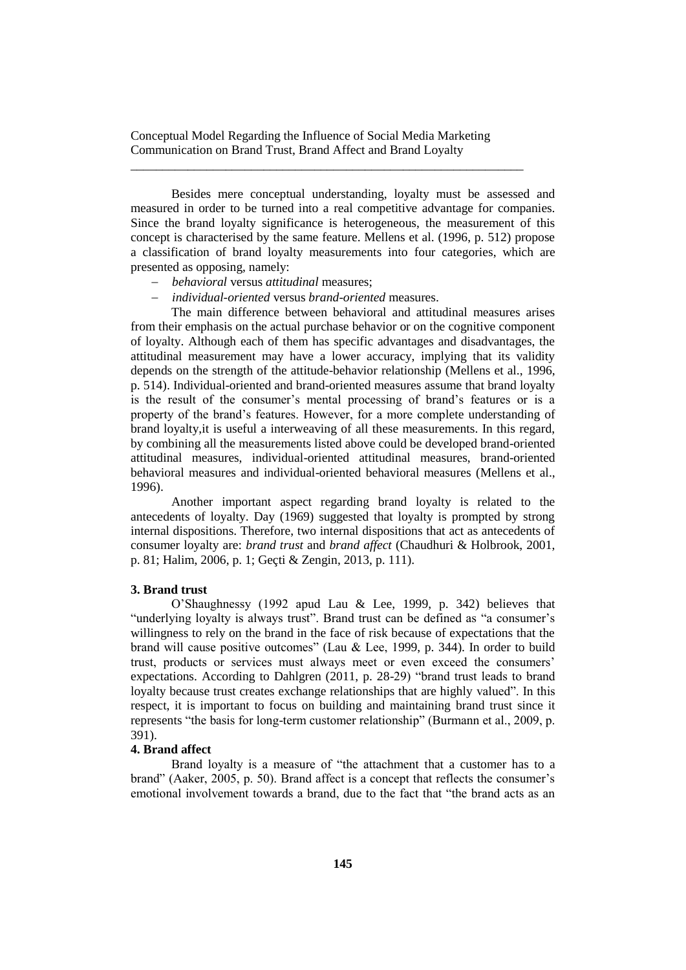\_\_\_\_\_\_\_\_\_\_\_\_\_\_\_\_\_\_\_\_\_\_\_\_\_\_\_\_\_\_\_\_\_\_\_\_\_\_\_\_\_\_\_\_\_\_\_\_\_\_\_\_\_\_\_\_\_\_\_\_\_\_

Besides mere conceptual understanding, loyalty must be assessed and measured in order to be turned into a real competitive advantage for companies. Since the brand loyalty significance is heterogeneous, the measurement of this concept is characterised by the same feature. Mellens et al. (1996, p. 512) propose a classification of brand loyalty measurements into four categories, which are presented as opposing, namely:

- *behavioral* versus *attitudinal* measures;
- *individual-oriented* versus *brand-oriented* measures.

The main difference between behavioral and attitudinal measures arises from their emphasis on the actual purchase behavior or on the cognitive component of loyalty. Although each of them has specific advantages and disadvantages, the attitudinal measurement may have a lower accuracy, implying that its validity depends on the strength of the attitude-behavior relationship (Mellens et al., 1996, p. 514). Individual-oriented and brand-oriented measures assume that brand loyalty is the result of the consumer's mental processing of brand's features or is a property of the brand's features. However, for a more complete understanding of brand loyalty,it is useful a interweaving of all these measurements. In this regard, by combining all the measurements listed above could be developed brand-oriented attitudinal measures, individual-oriented attitudinal measures, brand-oriented behavioral measures and individual-oriented behavioral measures (Mellens et al., 1996).

Another important aspect regarding brand loyalty is related to the antecedents of loyalty. Day (1969) suggested that loyalty is prompted by strong internal dispositions. Therefore, two internal dispositions that act as antecedents of consumer loyalty are: *brand trust* and *brand affect* (Chaudhuri & Holbrook, 2001, p. 81; Halim, 2006, p. 1; Geçti & Zengin, 2013, p. 111).

# **3. Brand trust**

O'Shaughnessy (1992 apud Lau & Lee, 1999, p. 342) believes that "underlying loyalty is always trust". Brand trust can be defined as "a consumer's willingness to rely on the brand in the face of risk because of expectations that the brand will cause positive outcomes" (Lau & Lee, 1999, p. 344). In order to build trust, products or services must always meet or even exceed the consumers' expectations. According to Dahlgren (2011, p. 28-29) "brand trust leads to brand loyalty because trust creates exchange relationships that are highly valued". In this respect, it is important to focus on building and maintaining brand trust since it represents "the basis for long-term customer relationship" (Burmann et al., 2009, p. 391).

# **4. Brand affect**

Brand loyalty is a measure of "the attachment that a customer has to a brand" (Aaker, 2005, p. 50). Brand affect is a concept that reflects the consumer's emotional involvement towards a brand, due to the fact that "the brand acts as an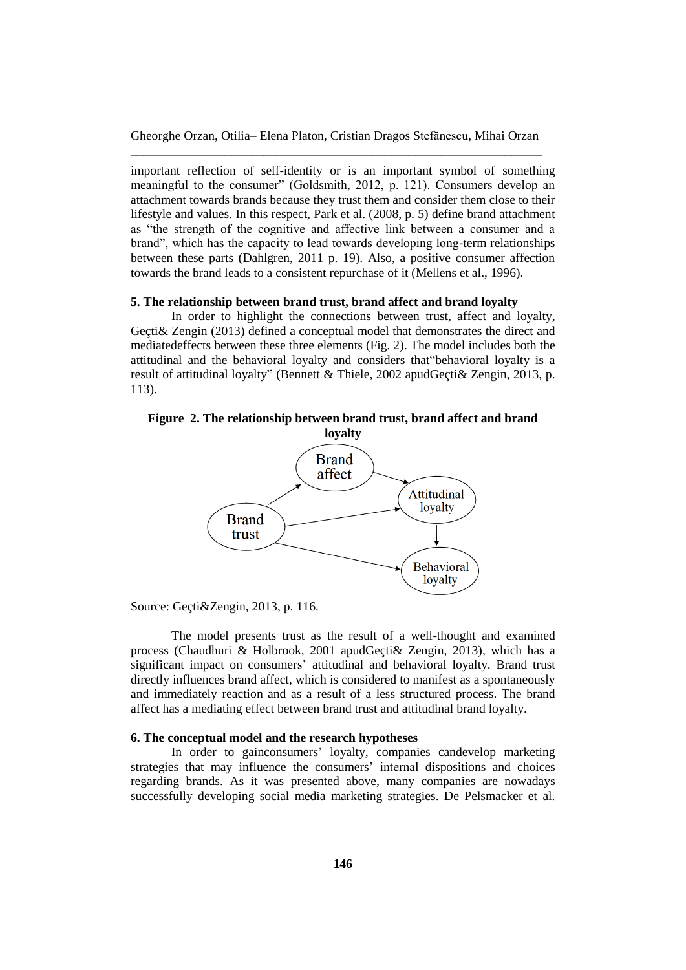important reflection of self-identity or is an important symbol of something meaningful to the consumer" (Goldsmith, 2012, p. 121). Consumers develop an attachment towards brands because they trust them and consider them close to their lifestyle and values. In this respect, Park et al. (2008, p. 5) define brand attachment as "the strength of the cognitive and affective link between a consumer and a brand", which has the capacity to lead towards developing long-term relationships between these parts (Dahlgren, 2011 p. 19). Also, a positive consumer affection towards the brand leads to a consistent repurchase of it (Mellens et al., 1996).

### **5. The relationship between brand trust, brand affect and brand loyalty**

In order to highlight the connections between trust, affect and loyalty, Geçti& Zengin (2013) defined a conceptual model that demonstrates the direct and mediatedeffects between these three elements (Fig. 2). The model includes both the attitudinal and the behavioral loyalty and considers that"behavioral loyalty is a result of attitudinal loyalty" (Bennett & Thiele, 2002 apudGeçti& Zengin, 2013, p. 113).

# **Figure 2. The relationship between brand trust, brand affect and brand**



Source: Geçti&Zengin, 2013, p. 116.

The model presents trust as the result of a well-thought and examined process (Chaudhuri & Holbrook, 2001 apudGeçti& Zengin, 2013), which has a significant impact on consumers' attitudinal and behavioral loyalty. Brand trust directly influences brand affect, which is considered to manifest as a spontaneously and immediately reaction and as a result of a less structured process. The brand affect has a mediating effect between brand trust and attitudinal brand loyalty.

## **6. The conceptual model and the research hypotheses**

In order to gainconsumers' loyalty, companies candevelop marketing strategies that may influence the consumers' internal dispositions and choices regarding brands. As it was presented above, many companies are nowadays successfully developing social media marketing strategies. De Pelsmacker et al.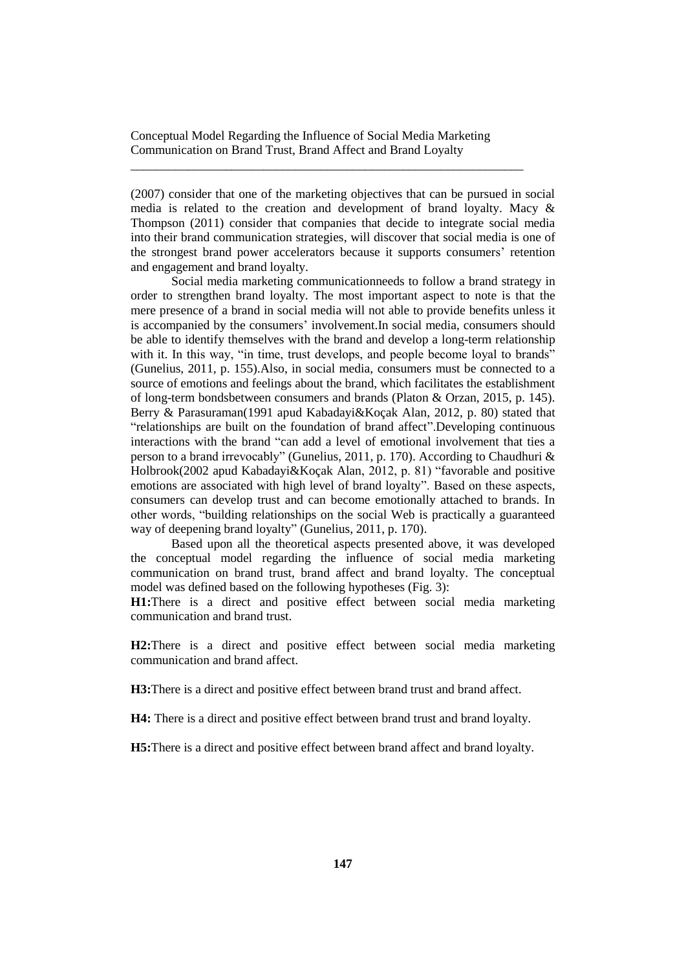\_\_\_\_\_\_\_\_\_\_\_\_\_\_\_\_\_\_\_\_\_\_\_\_\_\_\_\_\_\_\_\_\_\_\_\_\_\_\_\_\_\_\_\_\_\_\_\_\_\_\_\_\_\_\_\_\_\_\_\_\_\_

(2007) consider that one of the marketing objectives that can be pursued in social media is related to the creation and development of brand loyalty. Macy & Thompson (2011) consider that companies that decide to integrate social media into their brand communication strategies, will discover that social media is one of the strongest brand power accelerators because it supports consumers' retention and engagement and brand loyalty.

Social media marketing communicationneeds to follow a brand strategy in order to strengthen brand loyalty. The most important aspect to note is that the mere presence of a brand in social media will not able to provide benefits unless it is accompanied by the consumers' involvement.In social media, consumers should be able to identify themselves with the brand and develop a long-term relationship with it. In this way, "in time, trust develops, and people become loyal to brands" (Gunelius, 2011, p. 155).Also, in social media, consumers must be connected to a source of emotions and feelings about the brand, which facilitates the establishment of long-term bondsbetween consumers and brands (Platon & Orzan, 2015, p. 145). Berry & Parasuraman(1991 apud Kabadayi&Koçak Alan, 2012, p. 80) stated that "relationships are built on the foundation of brand affect".Developing continuous interactions with the brand "can add a level of emotional involvement that ties a person to a brand irrevocably" (Gunelius, 2011, p. 170). According to Chaudhuri & Holbrook(2002 apud Kabadayi&Koçak Alan, 2012, p. 81) "favorable and positive emotions are associated with high level of brand loyalty". Based on these aspects, consumers can develop trust and can become emotionally attached to brands. In other words, "building relationships on the social Web is practically a guaranteed way of deepening brand loyalty" (Gunelius, 2011, p. 170).

Based upon all the theoretical aspects presented above, it was developed the conceptual model regarding the influence of social media marketing communication on brand trust, brand affect and brand loyalty. The conceptual model was defined based on the following hypotheses (Fig. 3):

**H1:**There is a direct and positive effect between social media marketing communication and brand trust.

**H2:**There is a direct and positive effect between social media marketing communication and brand affect.

**H3:**There is a direct and positive effect between brand trust and brand affect.

**H4:** There is a direct and positive effect between brand trust and brand loyalty.

**H5:**There is a direct and positive effect between brand affect and brand loyalty.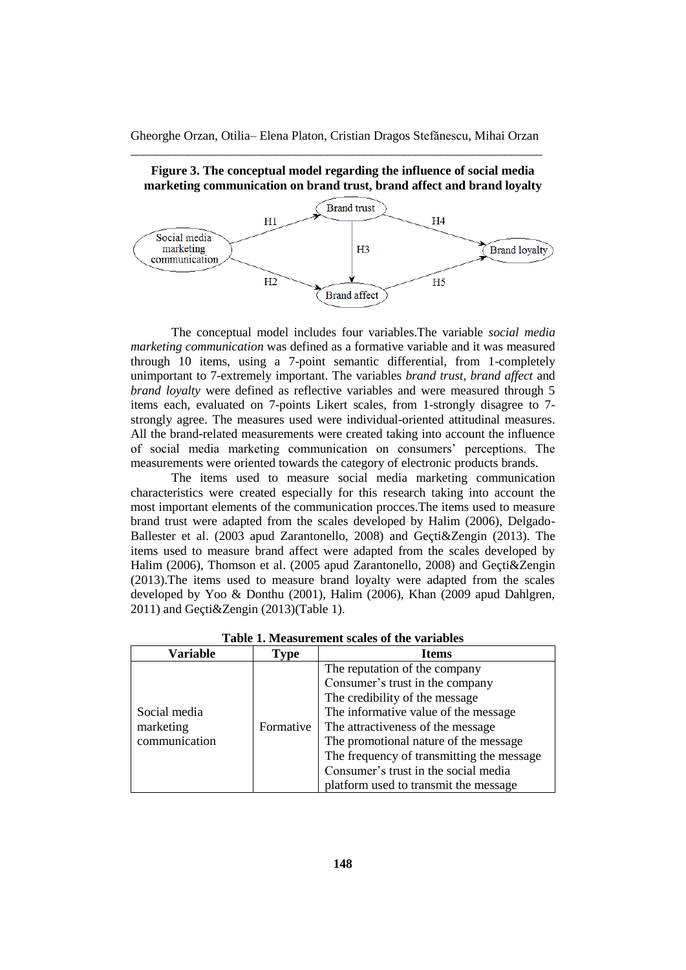

**marketing communication on brand trust, brand affect and brand loyalty**

**Figure 3. The conceptual model regarding the influence of social media** 

The conceptual model includes four variables.The variable *social media marketing communication* was defined as a formative variable and it was measured through 10 items, using a 7-point semantic differential, from 1-completely unimportant to 7-extremely important. The variables *brand trust, brand affect* and *brand loyalty* were defined as reflective variables and were measured through 5 items each, evaluated on 7-points Likert scales, from 1-strongly disagree to 7 strongly agree. The measures used were individual-oriented attitudinal measures. All the brand-related measurements were created taking into account the influence of social media marketing communication on consumers' perceptions. The measurements were oriented towards the category of electronic products brands.

The items used to measure social media marketing communication characteristics were created especially for this research taking into account the most important elements of the communication procces.The items used to measure brand trust were adapted from the scales developed by Halim (2006), Delgado-Ballester et al. (2003 apud Zarantonello, 2008) and Geçti&Zengin (2013). The items used to measure brand affect were adapted from the scales developed by Halim (2006), Thomson et al. (2005 apud Zarantonello, 2008) and Geçti&Zengin (2013).The items used to measure brand loyalty were adapted from the scales developed by Yoo & Donthu (2001), Halim (2006), Khan (2009 apud Dahlgren, 2011) and Geçti&Zengin (2013)(Table 1).

| Variable                                   | <b>Type</b> | <b>Items</b>                                                                                                                                                                                                                                                                                                                                           |  |
|--------------------------------------------|-------------|--------------------------------------------------------------------------------------------------------------------------------------------------------------------------------------------------------------------------------------------------------------------------------------------------------------------------------------------------------|--|
| Social media<br>marketing<br>communication | Formative   | The reputation of the company<br>Consumer's trust in the company<br>The credibility of the message<br>The informative value of the message<br>The attractiveness of the message<br>The promotional nature of the message<br>The frequency of transmitting the message<br>Consumer's trust in the social media<br>platform used to transmit the message |  |

**Table 1. Measurement scales of the variables**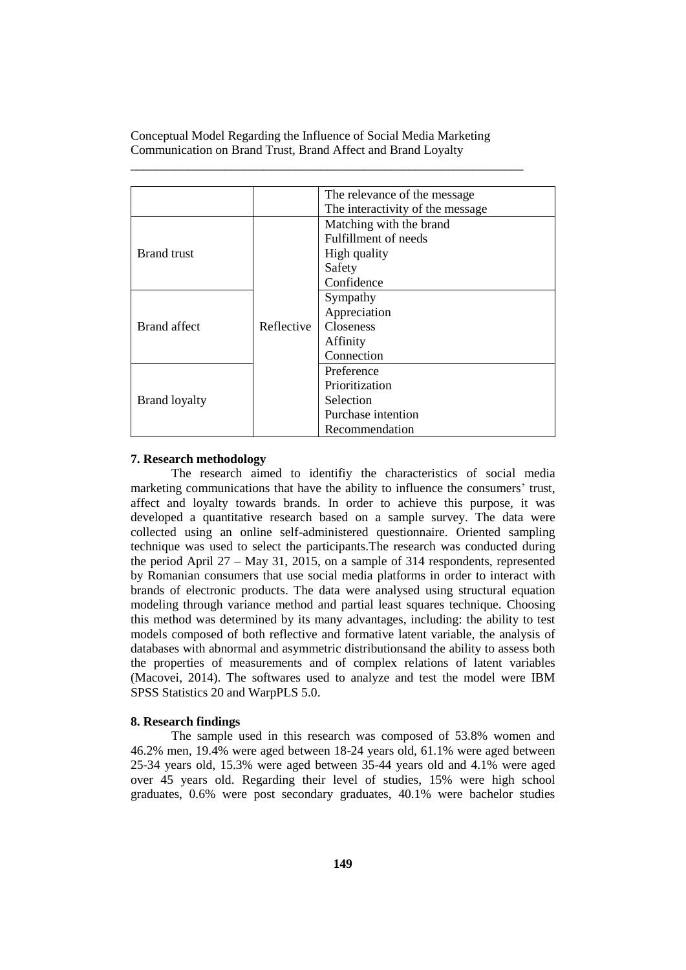|                      |            | The relevance of the message.    |  |  |
|----------------------|------------|----------------------------------|--|--|
|                      |            | The interactivity of the message |  |  |
|                      |            | Matching with the brand          |  |  |
|                      |            | Fulfillment of needs             |  |  |
| <b>Brand</b> trust   |            | High quality                     |  |  |
|                      |            | Safety                           |  |  |
|                      | Reflective | Confidence                       |  |  |
|                      |            | Sympathy                         |  |  |
|                      |            | Appreciation                     |  |  |
| <b>Brand</b> affect  |            | <b>Closeness</b>                 |  |  |
|                      |            | Affinity                         |  |  |
|                      |            | Connection                       |  |  |
|                      |            | Preference                       |  |  |
|                      |            | Prioritization                   |  |  |
| <b>Brand loyalty</b> |            | Selection                        |  |  |
|                      |            | Purchase intention               |  |  |
|                      |            | Recommendation                   |  |  |

\_\_\_\_\_\_\_\_\_\_\_\_\_\_\_\_\_\_\_\_\_\_\_\_\_\_\_\_\_\_\_\_\_\_\_\_\_\_\_\_\_\_\_\_\_\_\_\_\_\_\_\_\_\_\_\_\_\_\_\_\_\_

## **7. Research methodology**

The research aimed to identifiy the characteristics of social media marketing communications that have the ability to influence the consumers' trust, affect and loyalty towards brands. In order to achieve this purpose, it was developed a quantitative research based on a sample survey. The data were collected using an online self-administered questionnaire. Oriented sampling technique was used to select the participants.The research was conducted during the period April 27 – May 31, 2015, on a sample of 314 respondents, represented by Romanian consumers that use social media platforms in order to interact with brands of electronic products. The data were analysed using structural equation modeling through variance method and partial least squares technique. Choosing this method was determined by its many advantages, including: the ability to test models composed of both reflective and formative latent variable, the analysis of databases with abnormal and asymmetric distributionsand the ability to assess both the properties of measurements and of complex relations of latent variables (Macovei, 2014). The softwares used to analyze and test the model were IBM SPSS Statistics 20 and WarpPLS 5.0.

## **8. Research findings**

The sample used in this research was composed of 53.8% women and 46.2% men, 19.4% were aged between 18-24 years old, 61.1% were aged between 25-34 years old, 15.3% were aged between 35-44 years old and 4.1% were aged over 45 years old. Regarding their level of studies, 15% were high school graduates, 0.6% were post secondary graduates, 40.1% were bachelor studies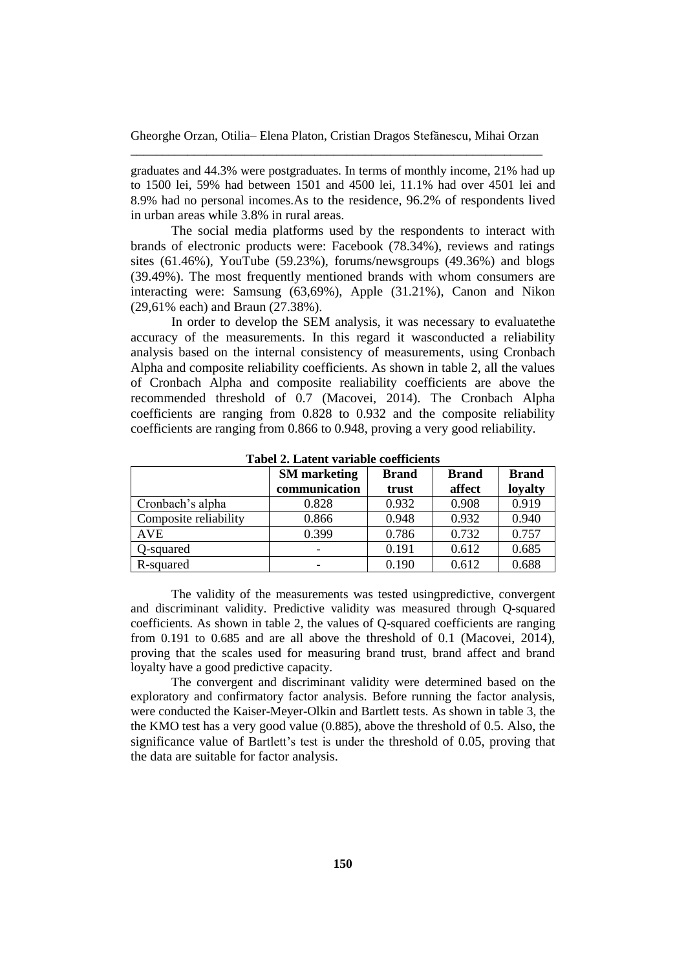graduates and 44.3% were postgraduates. In terms of monthly income, 21% had up to 1500 lei, 59% had between 1501 and 4500 lei, 11.1% had over 4501 lei and 8.9% had no personal incomes.As to the residence, 96.2% of respondents lived in urban areas while 3.8% in rural areas.

The social media platforms used by the respondents to interact with brands of electronic products were: Facebook (78.34%), reviews and ratings sites  $(61.46\%)$ , YouTube  $(59.23\%)$ , forums/newsgroups  $(49.36\%)$  and blogs (39.49%). The most frequently mentioned brands with whom consumers are interacting were: Samsung (63,69%), Apple (31.21%), Canon and Nikon (29,61% each) and Braun (27.38%).

In order to develop the SEM analysis, it was necessary to evaluatethe accuracy of the measurements. In this regard it wasconducted a reliability analysis based on the internal consistency of measurements, using Cronbach Alpha and composite reliability coefficients. As shown in table 2, all the values of Cronbach Alpha and composite realiability coefficients are above the recommended threshold of 0.7 (Macovei, 2014). The Cronbach Alpha coefficients are ranging from 0.828 to 0.932 and the composite reliability coefficients are ranging from 0.866 to 0.948, proving a very good reliability.

|                       | <b>SM</b> marketing | <b>Brand</b> | <b>Brand</b> | <b>Brand</b> |
|-----------------------|---------------------|--------------|--------------|--------------|
|                       | communication       | trust        | affect       | loyalty      |
| Cronbach's alpha      | 0.828               | 0.932        | 0.908        | 0.919        |
| Composite reliability | 0.866               | 0.948        | 0.932        | 0.940        |
| <b>AVE</b>            | 0.399               | 0.786        | 0.732        | 0.757        |
| Q-squared             | -                   | 0.191        | 0.612        | 0.685        |
| R-squared             |                     | 0.190        | 0.612        | 0.688        |

**Tabel 2. Latent variable coefficients**

The validity of the measurements was tested usingpredictive, convergent and discriminant validity. Predictive validity was measured through Q-squared coefficients. As shown in table 2, the values of Q-squared coefficients are ranging from 0.191 to 0.685 and are all above the threshold of 0.1 (Macovei, 2014), proving that the scales used for measuring brand trust, brand affect and brand loyalty have a good predictive capacity.

The convergent and discriminant validity were determined based on the exploratory and confirmatory factor analysis. Before running the factor analysis, were conducted the Kaiser-Meyer-Olkin and Bartlett tests. As shown in table 3, the the KMO test has a very good value (0.885), above the threshold of 0.5. Also, the significance value of Bartlett's test is under the threshold of 0.05, proving that the data are suitable for factor analysis.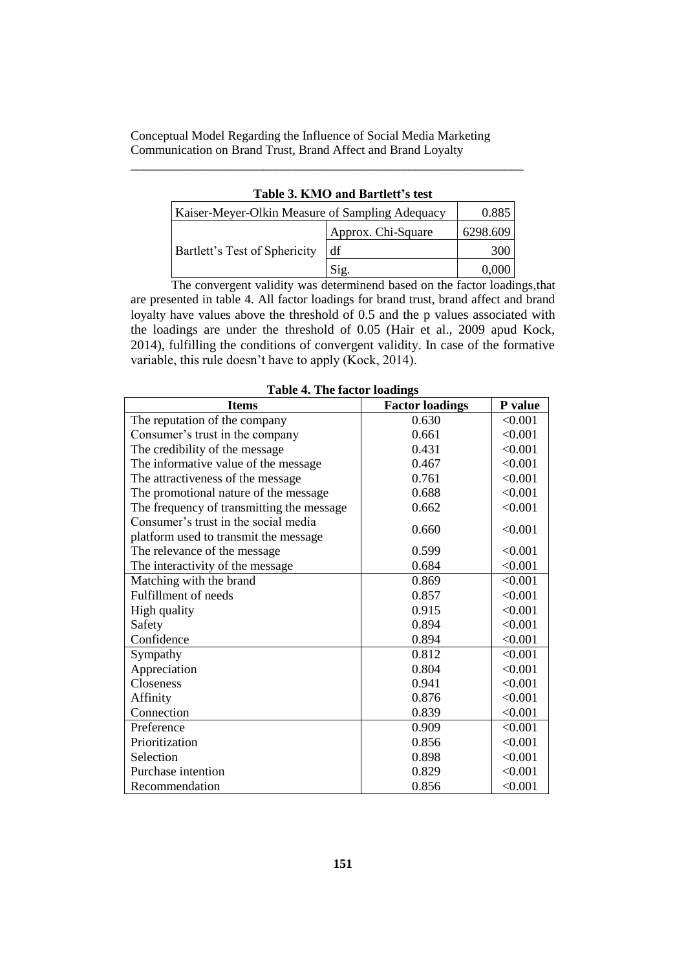\_\_\_\_\_\_\_\_\_\_\_\_\_\_\_\_\_\_\_\_\_\_\_\_\_\_\_\_\_\_\_\_\_\_\_\_\_\_\_\_\_\_\_\_\_\_\_\_\_\_\_\_\_\_\_\_\_\_\_\_\_\_

| Kaiser-Meyer-Olkin Measure of Sampling Adequacy | 0.885              |          |  |
|-------------------------------------------------|--------------------|----------|--|
| Bartlett's Test of Sphericity                   | Approx. Chi-Square | 6298.609 |  |
|                                                 | df                 | 300      |  |
|                                                 | $\angle$ 12.       |          |  |

**Table 3. KMO and Bartlett's test**

The convergent validity was determinend based on the factor loadings,that are presented in table 4. All factor loadings for brand trust, brand affect and brand loyalty have values above the threshold of 0.5 and the p values associated with the loadings are under the threshold of 0.05 (Hair et al., 2009 apud Kock, 2014), fulfilling the conditions of convergent validity. In case of the formative variable, this rule doesn't have to apply (Kock, 2014).

| <b>Items</b>                              | <b>Factor loadings</b> | P value |
|-------------------------------------------|------------------------|---------|
| The reputation of the company             | 0.630                  | < 0.001 |
| Consumer's trust in the company           | 0.661                  | < 0.001 |
| The credibility of the message            | 0.431                  | < 0.001 |
| The informative value of the message      | 0.467                  | < 0.001 |
| The attractiveness of the message         | 0.761                  | < 0.001 |
| The promotional nature of the message     | 0.688                  | < 0.001 |
| The frequency of transmitting the message | 0.662                  | < 0.001 |
| Consumer's trust in the social media      | 0.660                  | < 0.001 |
| platform used to transmit the message     |                        |         |
| The relevance of the message              | 0.599                  | < 0.001 |
| The interactivity of the message          | 0.684                  | < 0.001 |
| Matching with the brand                   | 0.869                  | < 0.001 |
| Fulfillment of needs                      | 0.857                  | < 0.001 |
| High quality                              | 0.915                  | < 0.001 |
| Safety                                    | 0.894                  | < 0.001 |
| Confidence                                | 0.894                  | < 0.001 |
| Sympathy                                  | 0.812                  | < 0.001 |
| Appreciation                              | 0.804                  | < 0.001 |
| Closeness                                 | 0.941                  | < 0.001 |
| Affinity                                  | 0.876                  | < 0.001 |
| Connection                                | 0.839                  | < 0.001 |
| Preference                                | 0.909                  | < 0.001 |
| Prioritization                            | 0.856                  | < 0.001 |
| Selection                                 | 0.898                  | < 0.001 |
| Purchase intention                        | 0.829                  | < 0.001 |
| Recommendation                            | 0.856                  | < 0.001 |

**Table 4. The factor loadings**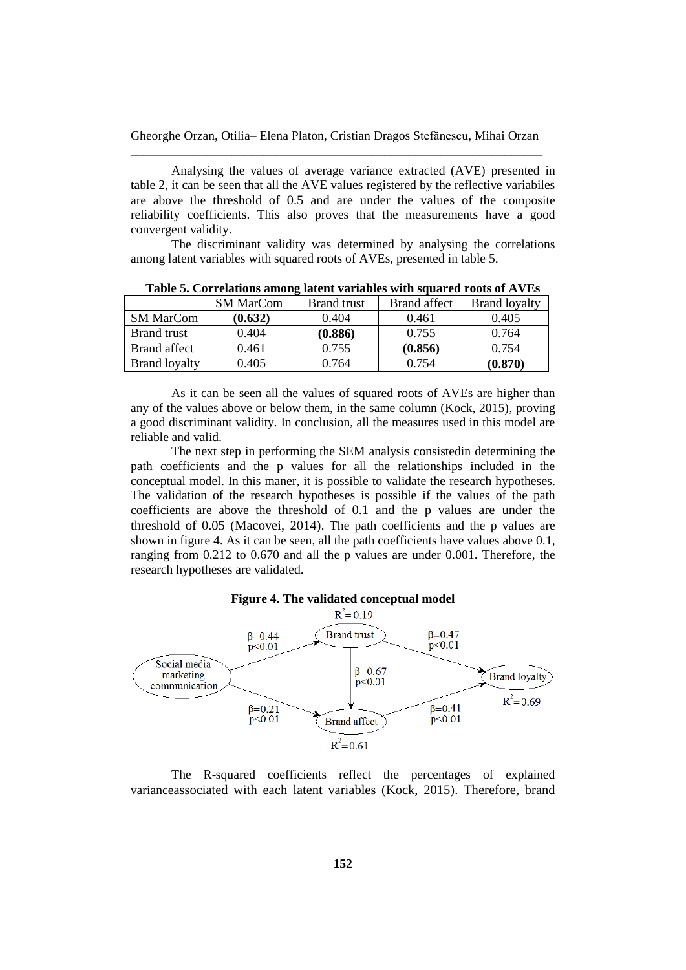Analysing the values of average variance extracted (AVE) presented in table 2, it can be seen that all the AVE values registered by the reflective variabiles are above the threshold of 0.5 and are under the values of the composite reliability coefficients. This also proves that the measurements have a good convergent validity.

The discriminant validity was determined by analysing the correlations among latent variables with squared roots of AVEs, presented in table 5.

|                      | <b>SM MarCom</b> | <b>Brand</b> trust | Brand affect | <b>Brand loyalty</b> |
|----------------------|------------------|--------------------|--------------|----------------------|
| <b>SM MarCom</b>     | (0.632)          | 0.404              | 0.461        | 0.405                |
| <b>Brand</b> trust   | 0.404            | (0.886)            | 0.755        | 0.764                |
| Brand affect         | 0.461            | 0.755              | (0.856)      | 0.754                |
| <b>Brand loyalty</b> | 0.405            | 0.764              | 0.754        | (0.870)              |

**Table 5. Correlations among latent variables with squared roots of AVEs**

As it can be seen all the values of squared roots of AVEs are higher than any of the values above or below them, in the same column (Kock, 2015), proving a good discriminant validity. In conclusion, all the measures used in this model are reliable and valid.

The next step in performing the SEM analysis consistedin determining the path coefficients and the p values for all the relationships included in the conceptual model. In this maner, it is possible to validate the research hypotheses. The validation of the research hypotheses is possible if the values of the path coefficients are above the threshold of 0.1 and the p values are under the threshold of 0.05 (Macovei, 2014). The path coefficients and the p values are shown in figure 4. As it can be seen, all the path coefficients have values above 0.1, ranging from 0.212 to 0.670 and all the p values are under 0.001. Therefore, the research hypotheses are validated.





The R-squared coefficients reflect the percentages of explained varianceassociated with each latent variables (Kock, 2015). Therefore, brand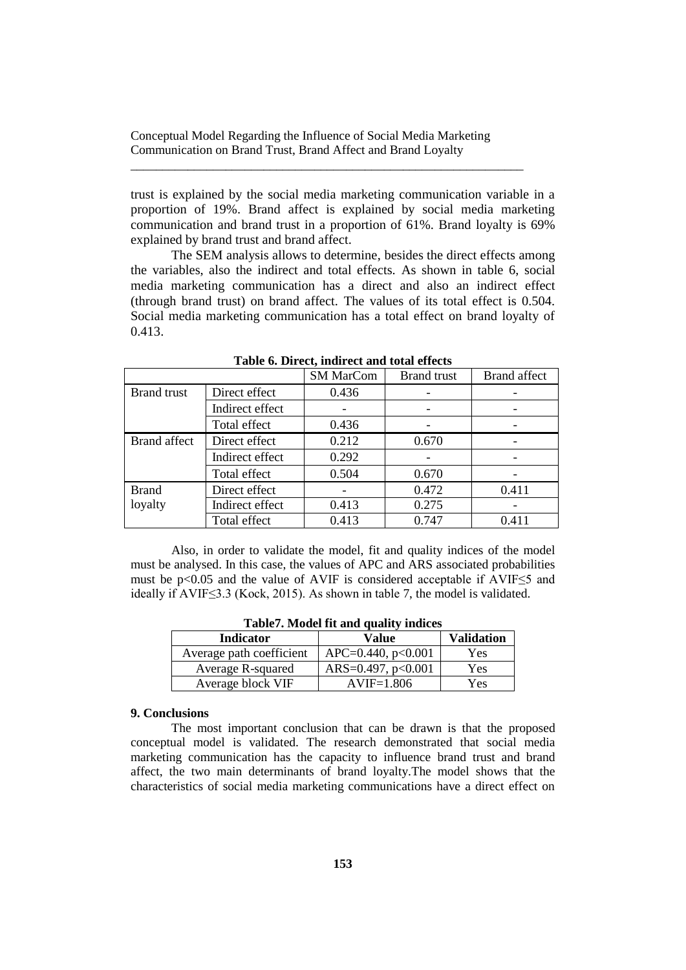\_\_\_\_\_\_\_\_\_\_\_\_\_\_\_\_\_\_\_\_\_\_\_\_\_\_\_\_\_\_\_\_\_\_\_\_\_\_\_\_\_\_\_\_\_\_\_\_\_\_\_\_\_\_\_\_\_\_\_\_\_\_

trust is explained by the social media marketing communication variable in a proportion of 19%. Brand affect is explained by social media marketing communication and brand trust in a proportion of 61%. Brand loyalty is 69% explained by brand trust and brand affect.

The SEM analysis allows to determine, besides the direct effects among the variables, also the indirect and total effects. As shown in table 6, social media marketing communication has a direct and also an indirect effect (through brand trust) on brand affect. The values of its total effect is 0.504. Social media marketing communication has a total effect on brand loyalty of 0.413.

|                    |                 | <b>SM MarCom</b> | <b>Brand</b> trust | <b>Brand</b> affect |
|--------------------|-----------------|------------------|--------------------|---------------------|
| <b>Brand</b> trust | Direct effect   | 0.436            |                    |                     |
|                    | Indirect effect |                  |                    |                     |
|                    | Total effect    | 0.436            |                    |                     |
| Brand affect       | Direct effect   | 0.212            | 0.670              |                     |
|                    | Indirect effect | 0.292            |                    |                     |
|                    | Total effect    | 0.504            | 0.670              |                     |
| <b>Brand</b>       | Direct effect   |                  | 0.472              | 0.411               |
| loyalty            | Indirect effect | 0.413            | 0.275              |                     |
|                    | Total effect    | 0.413            | 0.747              | 0.411               |

**Table 6. Direct, indirect and total effects**

Also, in order to validate the model, fit and quality indices of the model must be analysed. In this case, the values of APC and ARS associated probabilities must be p<0.05 and the value of AVIF is considered acceptable if AVIF≤5 and ideally if AVIF≤3.3 (Kock, 2015). As shown in table 7, the model is validated.

| <b>Indicator</b>         | Value                     | <b>Validation</b> |  |  |
|--------------------------|---------------------------|-------------------|--|--|
| Average path coefficient | $APC = 0.440$ , p<0.001   | Yes               |  |  |
| Average R-squared        | ARS= $0.497$ , p< $0.001$ | Yes               |  |  |
| Average block VIF        | $AVIF=1.806$              | Yes               |  |  |

**Table7. Model fit and quality indices**

## **9. Conclusions**

The most important conclusion that can be drawn is that the proposed conceptual model is validated. The research demonstrated that social media marketing communication has the capacity to influence brand trust and brand affect, the two main determinants of brand loyalty.The model shows that the characteristics of social media marketing communications have a direct effect on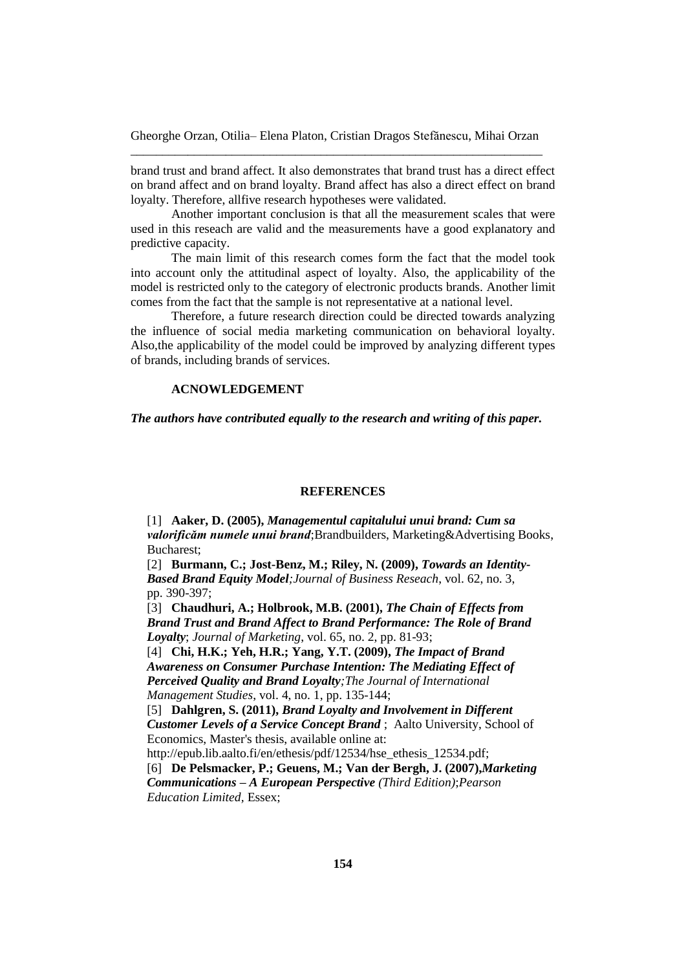brand trust and brand affect. It also demonstrates that brand trust has a direct effect on brand affect and on brand loyalty. Brand affect has also a direct effect on brand loyalty. Therefore, allfive research hypotheses were validated.

Another important conclusion is that all the measurement scales that were used in this reseach are valid and the measurements have a good explanatory and predictive capacity.

The main limit of this research comes form the fact that the model took into account only the attitudinal aspect of loyalty. Also, the applicability of the model is restricted only to the category of electronic products brands. Another limit comes from the fact that the sample is not representative at a national level.

Therefore, a future research direction could be directed towards analyzing the influence of social media marketing communication on behavioral loyalty. Also,the applicability of the model could be improved by analyzing different types of brands, including brands of services.

## **ACNOWLEDGEMENT**

*The authors have contributed equally to the research and writing of this paper.*

#### **REFERENCES**

[1] **Aaker, D. (2005),** *Managementul capitalului unui brand: Cum sa valorificăm numele unui brand*;Brandbuilders, Marketing&Advertising Books, Bucharest;

[2] **Burmann, C.; Jost-Benz, M.; Riley, N. (2009),** *Towards an Identity-Based Brand Equity Model;Journal of Business Reseach*, vol. 62, no. 3, pp. 390-397;

[3] **Chaudhuri, A.; Holbrook, M.B. (2001),** *The Chain of Effects from Brand Trust and Brand Affect to Brand Performance: The Role of Brand Loyalty*; *Journal of Marketing*, vol. 65, no. 2, pp. 81-93;

[4] **Chi, H.K.; Yeh, H.R.; Yang, Y.T. (2009),** *The Impact of Brand Awareness on Consumer Purchase Intention: The Mediating Effect of Perceived Quality and Brand Loyalty;The Journal of International Management Studies*, vol. 4, no. 1, pp. 135-144;

[5] **Dahlgren, S. (2011),** *Brand Loyalty and Involvement in Different Customer Levels of a Service Concept Brand* ; Aalto University, School of Economics, Master's thesis, available online at:

[http://epub.lib.aalto.fi/en/ethesis/pdf/12534/hse\\_ethesis\\_12534.pdf;](http://epub.lib.aalto.fi/en/ethesis/pdf/12534/hse_ethesis_12534.pdf)

[6] **De Pelsmacker, P.; Geuens, M.; Van der Bergh, J. (2007),***Marketing Communications – A European Perspective (Third Edition)*;*Pearson Education Limited,* Essex;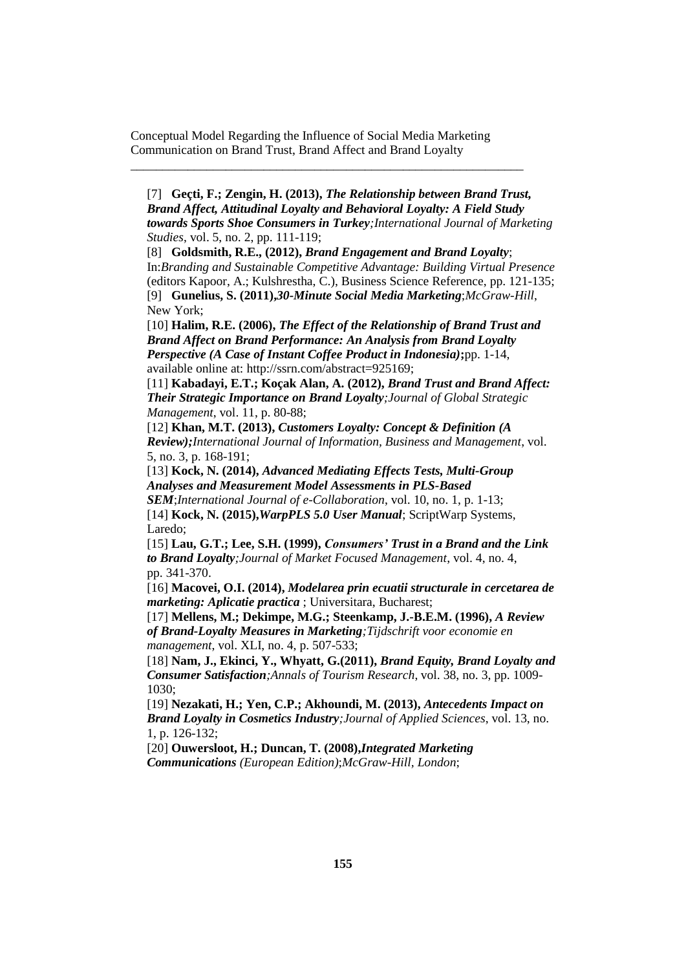\_\_\_\_\_\_\_\_\_\_\_\_\_\_\_\_\_\_\_\_\_\_\_\_\_\_\_\_\_\_\_\_\_\_\_\_\_\_\_\_\_\_\_\_\_\_\_\_\_\_\_\_\_\_\_\_\_\_\_\_\_\_

[7] **Geçti, F.; Zengin, H. (2013),** *The Relationship between Brand Trust, Brand Affect, Attitudinal Loyalty and Behavioral Loyalty: A Field Study towards Sports Shoe Consumers in Turkey;International Journal of Marketing Studies*, vol. 5, no. 2, pp. 111-119;

[8] **Goldsmith, R.E., (2012),** *Brand Engagement and Brand Loyalty*; In:*Branding and Sustainable Competitive Advantage: Building Virtual Presence* (editors Kapoor, A.; Kulshrestha, C.), Business Science Reference, pp. 121-135; [9] **Gunelius, S. (2011),***30-Minute Social Media Marketing*;*McGraw-Hill*, New York;

[10] **Halim, R.E. (2006),** *The Effect of the Relationship of Brand Trust and Brand Affect on Brand Performance: An Analysis from Brand Loyalty Perspective (A Case of Instant Coffee Product in Indonesia)***;**pp. 1-14, available online at: [http://ssrn.com/abstract=925169;](http://ssrn.com/abstract=925169)

[11] **Kabadayi, E.T.; Koçak Alan, A. (2012),** *Brand Trust and Brand Affect: Their Strategic Importance on Brand Loyalty;Journal of Global Strategic Management*, vol. 11, p. 80-88;

[12] **Khan, M.T. (2013),** *Customers Loyalty: Concept & Definition (A Review);International Journal of Information, Business and Management*, vol. 5, no. 3, p. 168-191;

[13] **Kock, N. (2014),** *Advanced Mediating Effects Tests, Multi-Group Analyses and Measurement Model Assessments in PLS-Based* 

*SEM*;*International Journal of e-Collaboration*, vol. 10, no. 1, p. 1-13; [14] **Kock, N. (2015),***WarpPLS 5.0 User Manual*; ScriptWarp Systems, Laredo;

[15] **Lau, G.T.; Lee, S.H. (1999),** *Consumers' Trust in a Brand and the Link to Brand Loyalty;Journal of Market Focused Management*, vol. 4, no. 4, pp. 341-370.

[16] **Macovei, O.I. (2014),** *Modelarea prin ecuatii structurale in cercetarea de marketing: Aplicatie practica* ; Universitara, Bucharest;

[17] **Mellens, M.; Dekimpe, M.G.; Steenkamp, J.-B.E.M. (1996),** *A Review of Brand-Loyalty Measures in Marketing;Tijdschrift voor economie en management*, vol. XLI, no. 4, p. 507-533;

[18] **Nam, J., Ekinci, Y., Whyatt, G.(2011),** *Brand Equity, Brand Loyalty and Consumer Satisfaction;Annals of Tourism Research*, vol. 38, no. 3, pp. 1009- 1030;

[19] **Nezakati, H.; Yen, C.P.; Akhoundi, M. (2013),** *Antecedents Impact on Brand Loyalty in Cosmetics Industry;Journal of Applied Sciences*, vol. 13, no. 1, p. 126-132;

[20] **Ouwersloot, H.; Duncan, T. (2008),***Integrated Marketing Communications (European Edition)*;*McGraw-Hill, London*;